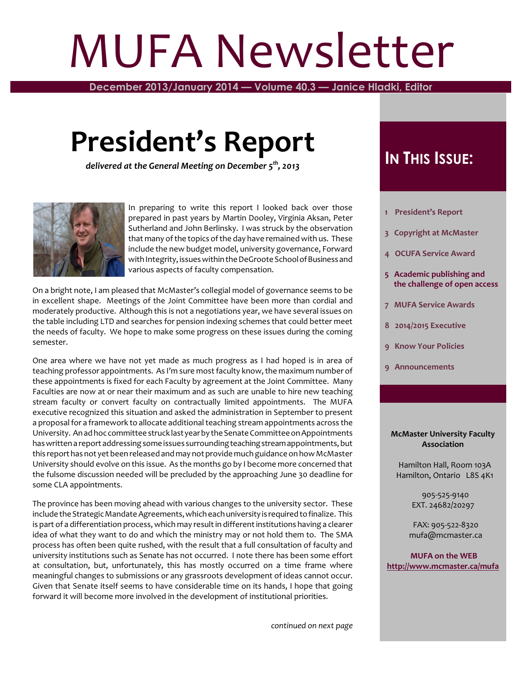# MUFA Newsletter

**December 2013/January 2014 — Volume 40.3 — Janice Hladki, Editor**

## **President's Report**

*delivered at the General Meeting on December 5th , 2013*



In preparing to write this report I looked back over those prepared in past years by Martin Dooley, Virginia Aksan, Peter Sutherland and John Berlinsky. I was struck by the observation that many of the topics of the day have remained with us. These include the new budget model, university governance, Forward with Integrity, issues within the DeGroote School of Business and various aspects of faculty compensation.

On a bright note, I am pleased that McMaster's collegial model of governance seems to be in excellent shape. Meetings of the Joint Committee have been more than cordial and moderately productive. Although this is not a negotiations year, we have several issues on the table including LTD and searches for pension indexing schemes that could better meet the needs of faculty. We hope to make some progress on these issues during the coming semester.

One area where we have not yet made as much progress as I had hoped is in area of teaching professor appointments. As I'm sure most faculty know, the maximum number of these appointments is fixed for each Faculty by agreement at the Joint Committee. Many Faculties are now at or near their maximum and as such are unable to hire new teaching stream faculty or convert faculty on contractually limited appointments. The MUFA executive recognized this situation and asked the administration in September to present a proposal for a framework to allocate additional teaching stream appointments across the University. An ad hoc committee struck last year by the Senate Committee on Appointments has written a report addressing some issues surrounding teaching stream appointments, but this report has not yet been released and may not provide much guidanceon howMcMaster University should evolve on this issue. As the months go by I become more concerned that the fulsome discussion needed will be precluded by the approaching June 30 deadline for some CLA appointments.

The province has been moving ahead with various changes to the university sector. These include the Strategic Mandate Agreements, which each university is required to finalize. This is part of a differentiation process, which may result in different institutions having a clearer idea of what they want to do and which the ministry may or not hold them to. The SMA process has often been quite rushed, with the result that a full consultation of faculty and university institutions such as Senate has not occurred. I note there has been some effort at consultation, but, unfortunately, this has mostly occurred on a time frame where meaningful changes to submissions or any grassroots development of ideas cannot occur. Given that Senate itself seems to have considerable time on its hands, I hope that going forward it will become more involved in the development of institutional priorities.

## **IN THIS ISSUE:**

- **1 President's Report**
- **3 Copyright at McMaster**
- **4 OCUFA Service Award**
- **5 Academic publishing and the challenge of open access**
- **7 MUFA Service Awards**
- **8 2014/2015 Executive**
- **9 Know Your Policies**
- **9 Announcements**

#### **McMaster University Faculty Association**

 Hamilton Hall, Room 103A Hamilton, Ontario L8S 4K1

> 905-525-9140 EXT. 24682/20297

 FAX: 905-522-8320 mufa@mcmaster.ca

**MUFA on the WEB <http://www.mcmaster.ca/mufa>**

*continued on next page*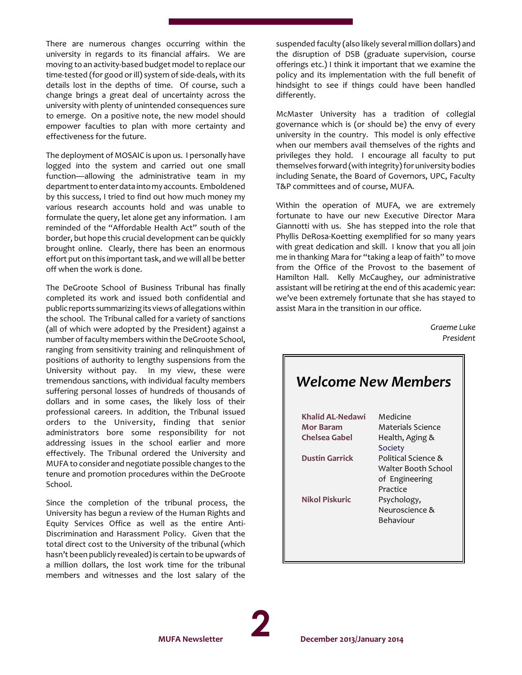There are numerous changes occurring within the university in regards to its financial affairs. We are moving to an activity-based budget model to replace our time-tested (for good or ill) system of side-deals, with its details lost in the depths of time. Of course, such a change brings a great deal of uncertainty across the university with plenty of unintended consequences sure to emerge. On a positive note, the new model should empower faculties to plan with more certainty and effectiveness for the future.

The deployment of MOSAIC is upon us. I personally have logged into the system and carried out one small function—allowing the administrative team in my department to enterdata into my accounts. Emboldened by this success, I tried to find out how much money my various research accounts hold and was unable to formulate the query, let alone get any information. I am reminded of the "Affordable Health Act" south of the border, but hope this crucial development can be quickly brought online. Clearly, there has been an enormous effort put on this important task, and wewill all be better off when the work is done.

The DeGroote School of Business Tribunal has finally completed its work and issued both confidential and public reports summarizing its views of allegations within the school. The Tribunal called for a variety of sanctions (all of which were adopted by the President) against a number of faculty members within the DeGroote School, ranging from sensitivity training and relinquishment of positions of authority to lengthy suspensions from the University without pay. In my view, these were tremendous sanctions, with individual faculty members suffering personal losses of hundreds of thousands of dollars and in some cases, the likely loss of their professional careers. In addition, the Tribunal issued orders to the University, finding that senior administrators bore some responsibility for not addressing issues in the school earlier and more effectively. The Tribunal ordered the University and MUFA to consider and negotiate possible changes to the tenure and promotion procedures within the DeGroote School.

Since the completion of the tribunal process, the University has begun a review of the Human Rights and Equity Services Office as well as the entire Anti-Discrimination and Harassment Policy. Given that the total direct cost to the University of the tribunal (which hasn't been publicly revealed) is certain to be upwards of a million dollars, the lost work time for the tribunal members and witnesses and the lost salary of the suspended faculty (also likely several million dollars) and the disruption of DSB (graduate supervision, course offerings etc.) I think it important that we examine the policy and its implementation with the full benefit of hindsight to see if things could have been handled differently.

McMaster University has a tradition of collegial governance which is (or should be) the envy of every university in the country. This model is only effective when our members avail themselves of the rights and privileges they hold. I encourage all faculty to put themselves forward (with integrity) foruniversity bodies including Senate, the Board of Governors, UPC, Faculty T&P committees and of course, MUFA.

Within the operation of MUFA, we are extremely fortunate to have our new Executive Director Mara Giannotti with us. She has stepped into the role that Phyllis DeRosa-Koetting exemplified for so many years with great dedication and skill. I know that you all join me in thanking Mara for "taking a leap of faith" to move from the Office of the Provost to the basement of Hamilton Hall. Kelly McCaughey, our administrative assistant will be retiring at the end of this academic year: we've been extremely fortunate that she has stayed to assist Mara in the transition in our office.

> *Graeme Luke President*

| <b>Welcome New Members</b>                                               |  |  |  |  |  |  |  |
|--------------------------------------------------------------------------|--|--|--|--|--|--|--|
| Medicine                                                                 |  |  |  |  |  |  |  |
| Materials Science                                                        |  |  |  |  |  |  |  |
| Health, Aging &<br>Society                                               |  |  |  |  |  |  |  |
| Political Science &<br>Walter Booth School<br>of Engineering<br>Practice |  |  |  |  |  |  |  |
| Psychology,<br>Neuroscience &<br>Behaviour                               |  |  |  |  |  |  |  |
|                                                                          |  |  |  |  |  |  |  |

**2**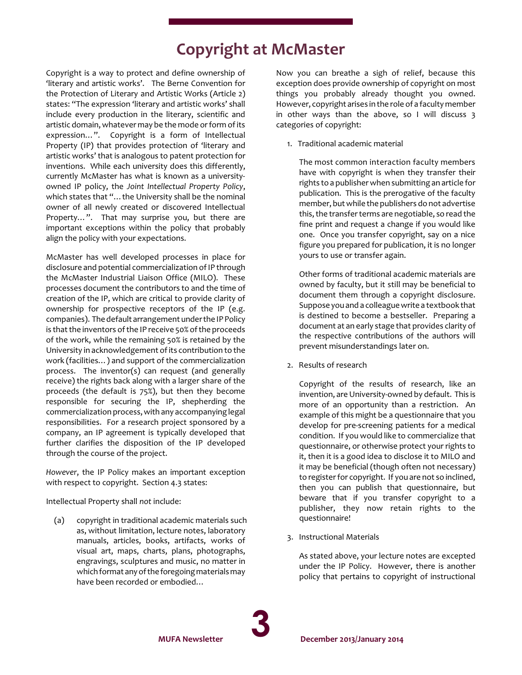## **Copyright at McMaster**

Copyright is a way to protect and define ownership of 'literary and artistic works'. The Berne Convention for the Protection of Literary and Artistic Works (Article 2) states: "The expression 'literary and artistic works' shall include every production in the literary, scientific and artistic domain, whatever may be the mode or form of its expression…". Copyright is a form of Intellectual Property (IP) that provides protection of 'literary and artistic works' that is analogous to patent protection for inventions. While each university does this differently, currently McMaster has what is known as a universityowned IP policy, the *Joint Intellectual Property Policy*, which states that "…the University shall be the nominal owner of all newly created or discovered Intellectual Property…". That may surprise you, but there are important exceptions within the policy that probably align the policy with your expectations.

McMaster has well developed processes in place for disclosure and potential commercialization of IP through the McMaster Industrial Liaison Office (MILO). These processes document the contributors to and the time of creation of the IP, which are critical to provide clarity of ownership for prospective receptors of the IP (e.g. companies). The default arrangement under the IP Policy is that the inventors of the IP receive 50% of the proceeds of the work, while the remaining 50% is retained by the University in acknowledgement of its contribution to the work (facilities…) and support of the commercialization process. The inventor(s) can request (and generally receive) the rights back along with a larger share of the proceeds (the default is 75%), but then they become responsible for securing the IP, shepherding the commercialization process, with any accompanying legal responsibilities. For a research project sponsored by a company, an IP agreement is typically developed that further clarifies the disposition of the IP developed through the course of the project.

*However*, the IP Policy makes an important exception with respect to copyright. Section 4.3 states:

Intellectual Property shall *not* include:

 (a) copyright in traditional academic materials such as, without limitation, lecture notes, laboratory manuals, articles, books, artifacts, works of visual art, maps, charts, plans, photographs, engravings, sculptures and music, no matter in which format any of the foregoing materials may have been recorded or embodied…

Now you can breathe a sigh of relief, because this exception does provide ownership of copyright on most things you probably already thought you owned. However, copyright arises in the role of a faculty member in other ways than the above, so I will discuss 3 categories of copyright:

1. Traditional academic material

 The most common interaction faculty members have with copyright is when they transfer their rights to a publisher when submitting an article for publication. This is the prerogative of the faculty member, but while the publishers do not advertise this, the transferterms are negotiable, so read the fine print and request a change if you would like one. Once you transfer copyright, say on a nice figure you prepared for publication, it is no longer yours to use or transfer again.

Other forms of traditional academic materials are owned by faculty, but it still may be beneficial to document them through a copyright disclosure. Supposeyouand a colleaguewrite a textbook that is destined to become a bestseller. Preparing a document at an early stage that provides clarity of the respective contributions of the authors will prevent misunderstandings later on.

2. Results of research

Copyright of the results of research, like an invention, are University-owned by default. This is more of an opportunity than a restriction. An example of this might be a questionnaire that you develop for pre-screening patients for a medical condition. If you would like to commercialize that questionnaire, or otherwise protect your rights to it, then it is a good idea to disclose it to MILO and it may be beneficial (though often not necessary) to register for copyright. If you are not so inclined, then you can publish that questionnaire, but beware that if you transfer copyright to a publisher, they now retain rights to the questionnaire!

3. Instructional Materials

As stated above, your lecture notes are excepted under the IP Policy. However, there is another policy that pertains to copyright of instructional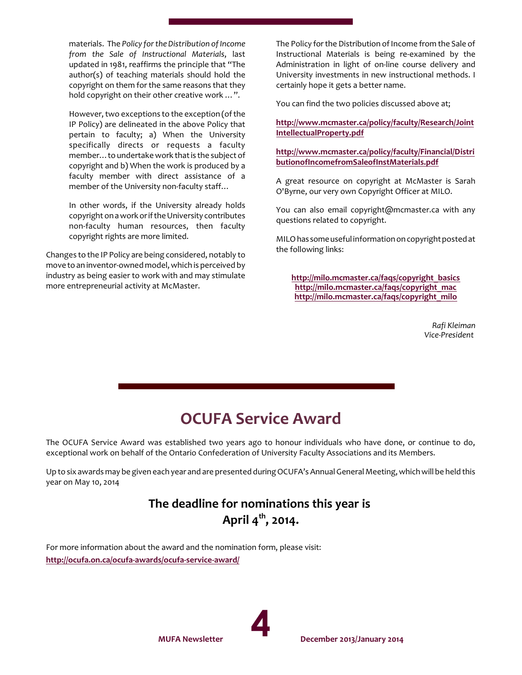materials. The *Policy for the Distribution of Income from the Sale of Instructional Materials*, last updated in 1981, reaffirms the principle that "The author(s) of teaching materials should hold the copyright on them for the same reasons that they hold copyright on their other creative work …".

However, two exceptions to the exception (of the IP Policy) are delineated in the above Policy that pertain to faculty; a) When the University specifically directs or requests a faculty member…to undertakework that is the subject of copyright and b) When the work is produced by a faculty member with direct assistance of a member of the University non-faculty staff…

In other words, if the University already holds copyright on a work or if the University contributes non-faculty human resources, then faculty copyright rights are more limited.

Changes to the IP Policy are being considered, notably to move to an inventor-owned model, which is perceived by industry as being easier to work with and may stimulate more entrepreneurial activity at McMaster.

The Policy for the Distribution of Income from the Sale of Instructional Materials is being re-examined by the Administration in light of on-line course delivery and University investments in new instructional methods. I certainly hope it gets a better name.

You can find the two policies discussed above at;

#### **<http://www.mcmaster.ca/policy/faculty/Research/Joint> [IntellectualProperty.pdf](http://www.mcmaster.ca/policy/faculty/Research/Joint)**

#### **[http://www.mcmaster.ca/policy/faculty/Financial/Distri](http://www.mcmaster.ca/policy/faculty/Financial/DistributionofIncomefromSaleofInstMaterials.pdf) [butionofIncomefromSaleofInstMaterials.pdf](http://www.mcmaster.ca/policy/faculty/Financial/DistributionofIncomefromSaleofInstMaterials.pdf)**

A great resource on copyright at McMaster is Sarah O'Byrne, our very own Copyright Officer at MILO.

You can also email copyright@mcmaster.ca with any questions related to copyright.

MILO has someuseful information on copyright posted at the following links:

**[http://milo.mcmaster.ca/faqs/copyright\\_basics](http://milo.mcmaster.ca/faqs/copyright_basics) [http://milo.mcmaster.ca/faqs/copyright\\_mac](http://milo.mcmaster.ca/faqs/copyright_mac) [http://milo.mcmaster.ca/faqs/copyright\\_milo](http://milo.mcmaster.ca/faqs/copyright_milo)**

> *Rafi Kleiman Vice-President*

## **OCUFA Service Award**

The OCUFA Service Award was established two years ago to honour individuals who have done, or continue to do, exceptional work on behalf of the Ontario Confederation of University Faculty Associations and its Members.

Up to six awards may be given each year and are presented during OCUFA's Annual General Meeting, which will be held this year on May 10, 2014

### **The deadline for nominations this year is April 4th , 2014.**

For more information about the award and the nomination form, please visit: **<http://ocufa.on.ca/ocufa-awards/ocufa-service-award/>**

**MUFA Newsletter**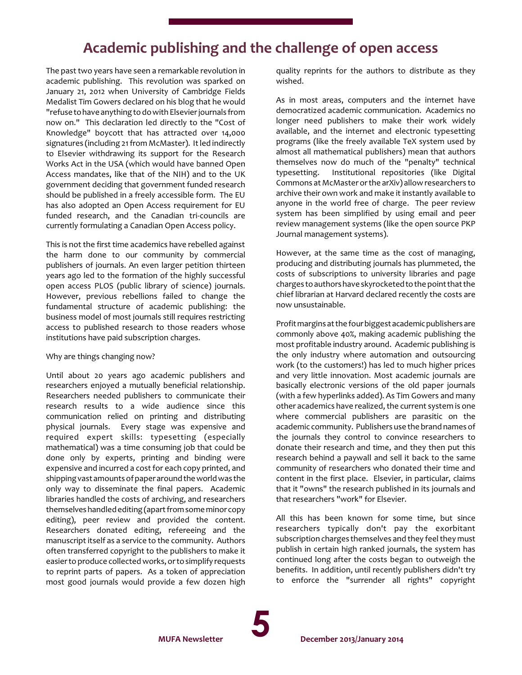## **Academic publishing and the challenge of open access**

The past two years have seen a remarkable revolution in academic publishing. This revolution was sparked on January 21, 2012 when University of Cambridge Fields Medalist Tim Gowers declared on his blog that he would "refuseto have anything to do with Elsevierjournals from now on." This declaration led directly to the "Cost of Knowledge" boycott that has attracted over 14,000 signatures (including 21 from McMaster). It led indirectly to Elsevier withdrawing its support for the Research Works Act in the USA (which would have banned Open Access mandates, like that of the NIH) and to the UK government deciding that government funded research should be published in a freely accessible form. The EU has also adopted an Open Access requirement for EU funded research, and the Canadian tri-councils are currently formulating a Canadian Open Access policy.

This is not the first time academics have rebelled against the harm done to our community by commercial publishers of journals. An even larger petition thirteen years ago led to the formation of the highly successful open access PLOS (public library of science) journals. However, previous rebellions failed to change the fundamental structure of academic publishing: the business model of most journals still requires restricting access to published research to those readers whose institutions have paid subscription charges.

#### Why are things changing now?

Until about 20 years ago academic publishers and researchers enjoyed a mutually beneficial relationship. Researchers needed publishers to communicate their research results to a wide audience since this communication relied on printing and distributing physical journals. Every stage was expensive and required expert skills: typesetting (especially mathematical) was a time consuming job that could be done only by experts, printing and binding were expensive and incurred a cost for each copy printed, and shipping vast amounts of paperaround theworld was the only way to disseminate the final papers. Academic libraries handled the costs of archiving, and researchers themselves handled editing (apart from someminorcopy editing), peer review and provided the content. Researchers donated editing, refereeing and the manuscript itself as a service to the community. Authors often transferred copyright to the publishers to make it easierto produce collected works, orto simplify requests to reprint parts of papers. As a token of appreciation most good journals would provide a few dozen high quality reprints for the authors to distribute as they wished.

As in most areas, computers and the internet have democratized academic communication. Academics no longer need publishers to make their work widely available, and the internet and electronic typesetting programs (like the freely available TeX system used by almost all mathematical publishers) mean that authors themselves now do much of the "penalty" technical typesetting. Institutional repositories (like Digital Commons at McMasterorthe arXiv) allowresearchers to archive their own work and make it instantly available to anyone in the world free of charge. The peer review system has been simplified by using email and peer review management systems (like the open source PKP Journal management systems).

However, at the same time as the cost of managing, producing and distributing journals has plummeted, the costs of subscriptions to university libraries and page charges to authors have skyrocketed to the point that the chief librarian at Harvard declared recently the costs are now unsustainable.

Profit margins at the four biggest academic publishers are commonly above 40%, making academic publishing the most profitable industry around. Academic publishing is the only industry where automation and outsourcing work (to the customers!) has led to much higher prices and very little innovation. Most academic journals are basically electronic versions of the old paper journals (with a few hyperlinks added). As Tim Gowers and many other academics have realized, the current system is one where commercial publishers are parasitic on the academic community. Publishers use the brand names of the journals they control to convince researchers to donate their research and time, and they then put this research behind a paywall and sell it back to the same community of researchers who donated their time and content in the first place. Elsevier, in particular, claims that it "owns" the research published in its journals and that researchers "work" for Elsevier.

All this has been known for some time, but since researchers typically don't pay the exorbitant subscription charges themselves and they feel they must publish in certain high ranked journals, the system has continued long after the costs began to outweigh the benefits. In addition, until recently publishers didn't try to enforce the "surrender all rights" copyright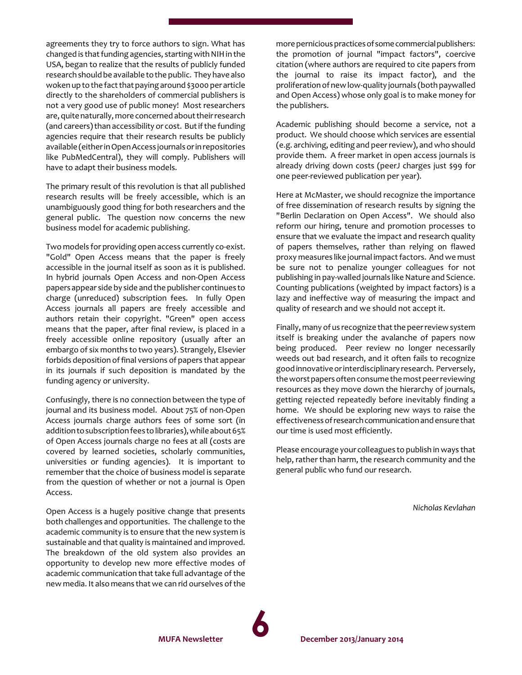agreements they try to force authors to sign. What has changed is that funding agencies, starting with NIH in the USA, began to realize that the results of publicly funded research should be available to the public. They have also woken up to the fact that paying around \$3000 per article directly to the shareholders of commercial publishers is not a very good use of public money! Most researchers are, quite naturally, more concerned about their research (and careers) than accessibility or cost. But if the funding agencies require that their research results be publicly available (eitherin Open Access journals orin repositories like PubMedCentral), they will comply. Publishers will have to adapt their business models.

The primary result of this revolution is that all published research results will be freely accessible, which is an unambiguously good thing for both researchers and the general public. The question now concerns the new business model for academic publishing.

Two models for providing open access currently co-exist. "Gold" Open Access means that the paper is freely accessible in the journal itself as soon as it is published. In hybrid journals Open Access and non-Open Access papers appear side by side and the publisher continues to charge (unreduced) subscription fees. In fully Open Access journals all papers are freely accessible and authors retain their copyright. "Green" open access means that the paper, after final review, is placed in a freely accessible online repository (usually after an embargo of six months to two years). Strangely, Elsevier forbids deposition of final versions of papers that appear in its journals if such deposition is mandated by the funding agency or university.

Confusingly, there is no connection between the type of journal and its business model. About 75% of non-Open Access journals charge authors fees of some sort (in addition tosubscription fees to libraries), whileabout 65% of Open Access journals charge no fees at all (costs are covered by learned societies, scholarly communities, universities or funding agencies). It is important to remember that the choice of business model is separate from the question of whether or not a journal is Open Access.

Open Access is a hugely positive change that presents both challenges and opportunities. The challenge to the academic community is to ensure that the new system is sustainable and that quality is maintained and improved. The breakdown of the old system also provides an opportunity to develop new more effective modes of academic communication that take full advantage of the new media. It also means that we can rid ourselves of the more pernicious practices of some commercial publishers: the promotion of journal "impact factors", coercive citation (where authors are required to cite papers from the journal to raise its impact factor), and the proliferation of newlow-quality journals (both paywalled and Open Access) whose only goal is to make money for the publishers.

Academic publishing should become a service, not a product. We should choose which services are essential (e.g. archiving, editing and peerreview), and who should provide them. A freer market in open access journals is already driving down costs (peerJ charges just \$99 for one peer-reviewed publication per year).

Here at McMaster, we should recognize the importance of free dissemination of research results by signing the "Berlin Declaration on Open Access". We should also reform our hiring, tenure and promotion processes to ensure that we evaluate the impact and research quality of papers themselves, rather than relying on flawed proxy measures like journal impact factors. And we must be sure not to penalize younger colleagues for not publishing in pay-walled journals like Nature and Science. Counting publications (weighted by impact factors) is a lazy and ineffective way of measuring the impact and quality of research and we should not accept it.

Finally, many of us recognize that the peerreviewsystem itself is breaking under the avalanche of papers now being produced. Peer review no longer necessarily weeds out bad research, and it often fails to recognize good innovative or interdisciplinary research. Perversely, theworstpapers often consumethemost peerreviewing resources as they move down the hierarchy of journals, getting rejected repeatedly before inevitably finding a home. We should be exploring new ways to raise the effectiveness of research communication and ensure that our time is used most efficiently.

Please encourage your colleagues to publish in ways that help, rather than harm, the research community and the general public who fund our research.

*Nicholas Kevlahan*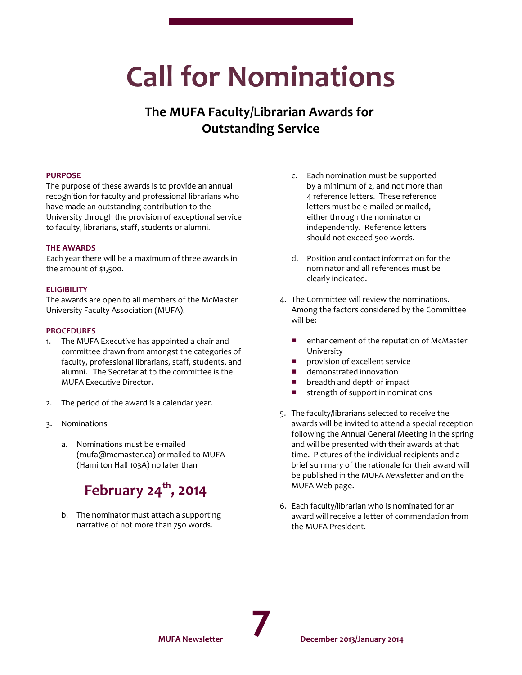## **Call for Nominations**

## **The MUFA Faculty/Librarian Awards for Outstanding Service**

#### **PURPOSE**

The purpose of these awards is to provide an annual recognition for faculty and professional librarians who have made an outstanding contribution to the University through the provision of exceptional service to faculty, librarians, staff, students or alumni.

#### **THE AWARDS**

Each year there will be a maximum of three awards in the amount of \$1,500.

#### **ELIGIBILITY**

The awards are open to all members of the McMaster University Faculty Association (MUFA).

#### **PROCEDURES**

- 1. The MUFA Executive has appointed a chair and committee drawn from amongst the categories of faculty, professional librarians, staff, students, and alumni. The Secretariat to the committee is the MUFA Executive Director.
- 2. The period of the award is a calendar year.
- 3. Nominations
	- a. Nominations must be e-mailed (mufa@mcmaster.ca) or mailed to MUFA (Hamilton Hall 103A) no later than

## **February 24th , 2014**

b. The nominator must attach a supporting narrative of not more than 750 words.

- c. Each nomination must be supported by a minimum of 2, and not more than 4 reference letters. These reference letters must be e-mailed or mailed, either through the nominator or independently. Reference letters should not exceed 500 words.
- d. Position and contact information for the nominator and all references must be clearly indicated.
- 4. The Committee will review the nominations. Among the factors considered by the Committee will be:
	- **E** enhancement of the reputation of McMaster University
	- provision of excellent service
	- **E** demonstrated innovation
	- $\blacksquare$  breadth and depth of impact
	- $\blacksquare$  strength of support in nominations
- 5. The faculty/librarians selected to receive the awards will be invited to attend a special reception following the Annual General Meeting in the spring and will be presented with their awards at that time. Pictures of the individual recipients and a brief summary of the rationale for their award will be published in the MUFA *Newsletter* and on the MUFA Web page.
- 6. Each faculty/librarian who is nominated for an award will receive a letter of commendation from the MUFA President.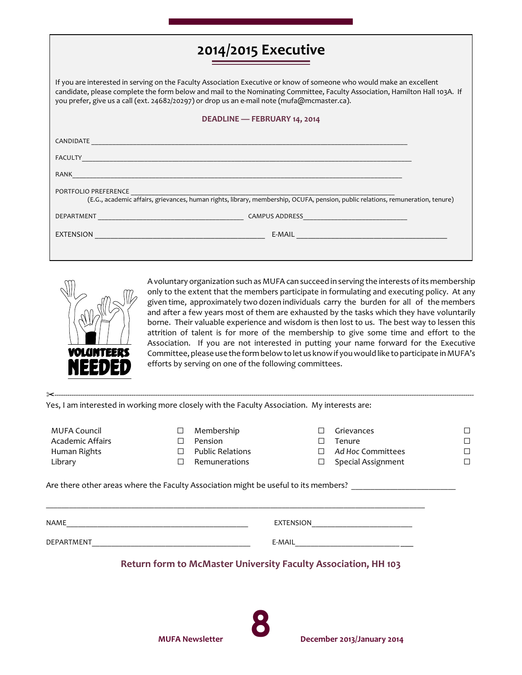## **2014/2015 Executive**

If you are interested in serving on the Faculty Association Executive or know of someone who would make an excellent candidate, please complete the form below and mail to the Nominating Committee, Faculty Association, Hamilton Hall 103A. If you prefer, give us a call (ext. 24682/20297) or drop us an e-mail note (mufa@mcmaster.ca).

#### **DEADLINE — FEBRUARY 14, 2014**

| CANDIDATE                                                                                                                                               |                       |  |  |  |  |  |  |
|---------------------------------------------------------------------------------------------------------------------------------------------------------|-----------------------|--|--|--|--|--|--|
| <b>FACULTY</b>                                                                                                                                          |                       |  |  |  |  |  |  |
| RANK                                                                                                                                                    |                       |  |  |  |  |  |  |
| PORTFOLIO PREFERENCE<br>(E.G., academic affairs, grievances, human rights, library, membership, OCUFA, pension, public relations, remuneration, tenure) |                       |  |  |  |  |  |  |
| DEPARTMENT                                                                                                                                              | <b>CAMPUS ADDRESS</b> |  |  |  |  |  |  |
| <b>EXTENSION</b>                                                                                                                                        | E-MAIL                |  |  |  |  |  |  |
|                                                                                                                                                         |                       |  |  |  |  |  |  |



A voluntary organization such as MUFA can succeed in serving the interests of its membership only to the extent that the members participate in formulating and executing policy. At any given time, approximately two dozen individuals carry the burden for all of the members and after a few years most of them are exhausted by the tasks which they have voluntarily borne. Their valuable experience and wisdom is then lost to us. The best way to lessen this attrition of talent is for more of the membership to give some time and effort to the Association. If you are not interested in putting your name forward for the Executive Committee, please use the form below to let us know if you would like to participate in MUFA's efforts by serving on one of the following committees.

| Yes, I am interested in working more closely with the Faculty Association. My interests are: |                  |                                                                       |        |                                                                                     |   |
|----------------------------------------------------------------------------------------------|------------------|-----------------------------------------------------------------------|--------|-------------------------------------------------------------------------------------|---|
| <b>MUFA Council</b><br>Academic Affairs<br>Human Rights<br>Library                           | □<br>П<br>П<br>П | Membership<br>Pension<br><b>Public Relations</b><br>Remunerations     | П<br>□ | Grievances<br>Tenure<br>Ad Hoc Committees<br>Special Assignment                     | П |
|                                                                                              |                  |                                                                       |        | Are there other areas where the Faculty Association might be useful to its members? |   |
| NAME<br><u> 1980 - Jan James James Barnett, amerikansk politik (</u>                         |                  |                                                                       |        | EXTENSION ________________________                                                  |   |
| DEPARTMENT                                                                                   |                  |                                                                       | E-MAIL |                                                                                     |   |
|                                                                                              |                  | <b>Return form to McMaster University Faculty Association, HH 103</b> |        |                                                                                     |   |